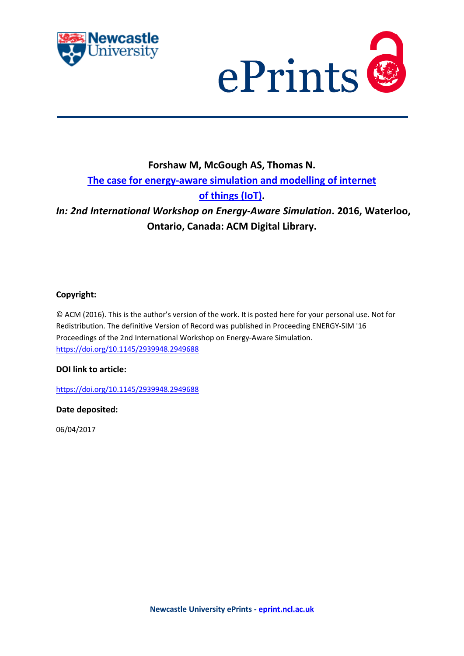



# **Forshaw M, McGough AS, Thomas N. [The case for energy-aware simulation and modelling of internet](https://myimpact.ncl.ac.uk/ViewPublication.aspx?id=237285)  [of things \(IoT\).](https://myimpact.ncl.ac.uk/ViewPublication.aspx?id=237285)**  *In: 2nd International Workshop on Energy-Aware Simulation***. 2016, Waterloo,**

# **Ontario, Canada: ACM Digital Library.**

## **Copyright:**

© ACM (2016). This is the author's version of the work. It is posted here for your personal use. Not for Redistribution. The definitive Version of Record was published in Proceeding ENERGY-SIM '16 Proceedings of the 2nd International Workshop on Energy-Aware Simulation. <https://doi.org/10.1145/2939948.2949688>

### **DOI link to article:**

<https://doi.org/10.1145/2939948.2949688>

**Date deposited:** 

06/04/2017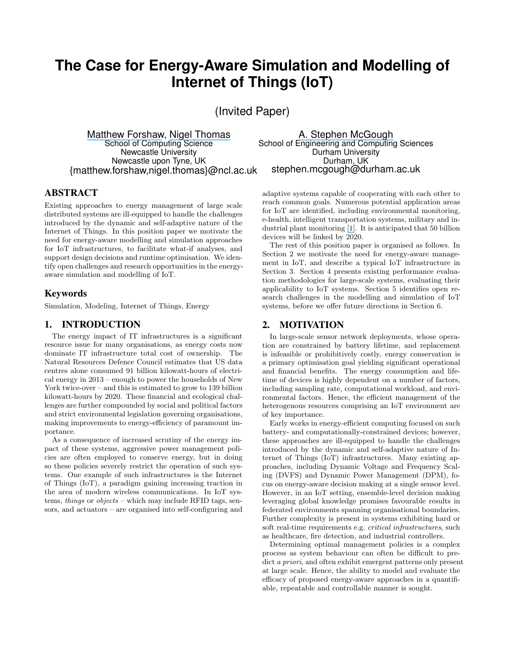# **The Case for Energy-Aware Simulation and Modelling of Internet of Things (IoT)**

(Invited Paper)

[Matthew Forshaw](https://www.researchgate.net/profile/Matt_Forshaw2?el=1_x_100&enrichId=rgreq-697b4cfa0f612d6876c784f1704a2d20-XXX&enrichSource=Y292ZXJQYWdlOzMwNDA1NDk4NjtBUzo0NDYwNTkxOTQzOTI1NzZAMTQ4MzM2MDIwNzM1MQ==), [Nigel Thomas](https://www.researchgate.net/profile/Nigel_Thomas5?el=1_x_100&enrichId=rgreq-697b4cfa0f612d6876c784f1704a2d20-XXX&enrichSource=Y292ZXJQYWdlOzMwNDA1NDk4NjtBUzo0NDYwNTkxOTQzOTI1NzZAMTQ4MzM2MDIwNzM1MQ==) School of Computing Science Newcastle University Newcastle upon Tyne, UK {matthew.forshaw,nigel.thomas}@ncl.ac.uk

#### ABSTRACT

Existing approaches to energy management of large scale distributed systems are ill-equipped to handle the challenges introduced by the dynamic and self-adaptive nature of the Internet of Things. In this position paper we motivate the need for energy-aware modelling and simulation approaches for IoT infrastructures, to facilitate what-if analyses, and support design decisions and runtime optimisation. We identify open challenges and research opportunities in the energyaware simulation and modelling of IoT.

#### Keywords

Simulation, Modeling, Internet of Things, Energy

#### 1. INTRODUCTION

The energy impact of IT infrastructures is a significant resource issue for many organisations, as energy costs now dominate IT infrastructure total cost of ownership. The Natural Resources Defence Council estimates that US data centres alone consumed 91 billion kilowatt-hours of electrical energy in 2013 – enough to power the households of New York twice-over – and this is estimated to grow to 139 billion kilowatt-hours by 2020. These financial and ecological challenges are further compounded by social and political factors and strict environmental legislation governing organisations, making improvements to energy-efficiency of paramount importance.

As a consequence of increased scrutiny of the energy impact of these systems, aggressive power management policies are often employed to conserve energy, but in doing so these policies severely restrict the operation of such systems. One example of such infrastructures is the Internet of Things (IoT), a paradigm gaining increasing traction in the area of modern wireless communications. In IoT systems, things or objects – which may include RFID tags, sensors, and actuators – are organised into self-configuring and

[A. Stephen McGough](https://www.researchgate.net/profile/Andrew_Mcgough?el=1_x_100&enrichId=rgreq-697b4cfa0f612d6876c784f1704a2d20-XXX&enrichSource=Y292ZXJQYWdlOzMwNDA1NDk4NjtBUzo0NDYwNTkxOTQzOTI1NzZAMTQ4MzM2MDIwNzM1MQ==) School of Engineering and Computing Sciences Durham University Durham, UK stephen.mcgough@durham.ac.uk

adaptive systems capable of cooperating with each other to reach common goals. Numerous potential application areas for IoT are identified, including environmental monitoring, e-health, intelligent transportation systems, military and industrial plant monitoring [\[1\]](https://www.researchgate.net/publication/222571757_The_Internet_of_Things_A_Survey?el=1_x_8&enrichId=rgreq-697b4cfa0f612d6876c784f1704a2d20-XXX&enrichSource=Y292ZXJQYWdlOzMwNDA1NDk4NjtBUzo0NDYwNTkxOTQzOTI1NzZAMTQ4MzM2MDIwNzM1MQ==). It is anticipated that 50 billion devices will be linked by 2020.

The rest of this position paper is organised as follows. In Section 2 we motivate the need for energy-aware management in IoT, and describe a typical IoT infrastructure in Section 3. Section 4 presents existing performance evaluation methodologies for large-scale systems, evaluating their applicability to IoT systems. Section 5 identifies open research challenges in the modelling and simulation of IoT systems, before we offer future directions in Section 6.

#### 2. MOTIVATION

In large-scale sensor network deployments, whose operation are constrained by battery lifetime, and replacement is infeasible or prohibitively costly, energy conservation is a primary optimisation goal yielding significant operational and financial benefits. The energy consumption and lifetime of devices is highly dependent on a number of factors, including sampling rate, computational workload, and environmental factors. Hence, the efficient management of the heterogenous resources comprising an IoT environment are of key importance.

Early works in energy-efficient computing focused on such battery- and computationally-constrained devices; however, these approaches are ill-equipped to handle the challenges introduced by the dynamic and self-adaptive nature of Internet of Things (IoT) infrastructures. Many existing approaches, including Dynamic Voltage and Frequency Scaling (DVFS) and Dynamic Power Management (DPM), focus on energy-aware decision making at a single sensor level. However, in an IoT setting, ensemble-level decision making leveraging global knowledge promises favourable results in federated environments spanning organisational boundaries. Further complexity is present in systems exhibiting hard or soft real-time requirements e.g. critical infrastructures, such as healthcare, fire detection, and industrial controllers.

Determining optimal management policies is a complex process as system behaviour can often be difficult to predict a priori, and often exhibit emergent patterns only present at large scale. Hence, the ability to model and evaluate the efficacy of proposed energy-aware approaches in a quantifiable, repeatable and controllable manner is sought.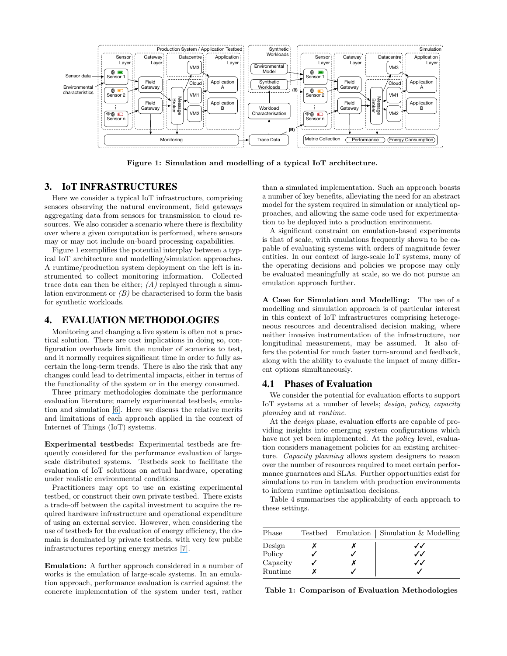

Figure 1: Simulation and modelling of a typical IoT architecture.

#### 3. IoT INFRASTRUCTURES

Here we consider a typical IoT infrastructure, comprising sensors observing the natural environment, field gateways aggregating data from sensors for transmission to cloud resources. We also consider a scenario where there is flexibility over where a given computation is performed, where sensors may or may not include on-board processing capabilities.

Figure 1 exemplifies the potential interplay between a typical IoT architecture and modelling/simulation approaches. A runtime/production system deployment on the left is instrumented to collect monitoring information. Collected trace data can then be either;  $(A)$  replayed through a simulation environment or  $(B)$  be characterised to form the basis for synthetic workloads.

#### 4. EVALUATION METHODOLOGIES

Monitoring and changing a live system is often not a practical solution. There are cost implications in doing so, configuration overheads limit the number of scenarios to test, and it normally requires significant time in order to fully ascertain the long-term trends. There is also the risk that any changes could lead to detrimental impacts, either in terms of the functionality of the system or in the energy consumed.

Three primary methodologies dominate the performance evaluation literature; namely experimental testbeds, emulation and simulation [\[6\]](https://www.researchgate.net/publication/273950076_Trace-Driven_Simulation_for_Energy_Consumption_in_High_Throughput_Computing_Systems?el=1_x_8&enrichId=rgreq-697b4cfa0f612d6876c784f1704a2d20-XXX&enrichSource=Y292ZXJQYWdlOzMwNDA1NDk4NjtBUzo0NDYwNTkxOTQzOTI1NzZAMTQ4MzM2MDIwNzM1MQ==). Here we discuss the relative merits and limitations of each approach applied in the context of Internet of Things (IoT) systems.

Experimental testbeds: Experimental testbeds are frequently considered for the performance evaluation of largescale distributed systems. Testbeds seek to facilitate the evaluation of IoT solutions on actual hardware, operating under realistic environmental conditions.

Practitioners may opt to use an existing experimental testbed, or construct their own private testbed. There exists a trade-off between the capital investment to acquire the required hardware infrastructure and operational expenditure of using an external service. However, when considering the use of testbeds for the evaluation of energy efficiency, the domain is dominated by private testbeds, with very few public infrastructures reporting energy metrics [\[7\]](https://www.researchgate.net/publication/220144384_A_Survey_on_Facilities_for_Experimental_Internet_of_Things_Research?el=1_x_8&enrichId=rgreq-697b4cfa0f612d6876c784f1704a2d20-XXX&enrichSource=Y292ZXJQYWdlOzMwNDA1NDk4NjtBUzo0NDYwNTkxOTQzOTI1NzZAMTQ4MzM2MDIwNzM1MQ==).

Emulation: A further approach considered in a number of works is the emulation of large-scale systems. In an emulation approach, performance evaluation is carried against the concrete implementation of the system under test, rather

than a simulated implementation. Such an approach boasts a number of key benefits, alleviating the need for an abstract model for the system required in simulation or analytical approaches, and allowing the same code used for experimentation to be deployed into a production environment.

A significant constraint on emulation-based experiments is that of scale, with emulations frequently shown to be capable of evaluating systems with orders of magnitude fewer entities. In our context of large-scale IoT systems, many of the operating decisions and policies we propose may only be evaluated meaningfully at scale, so we do not pursue an emulation approach further.

A Case for Simulation and Modelling: The use of a modelling and simulation approach is of particular interest in this context of IoT infrastructures comprising heterogeneous resources and decentralised decision making, where neither invasive instrumentation of the infrastructure, nor longitudinal measurement, may be assumed. It also offers the potential for much faster turn-around and feedback, along with the ability to evaluate the impact of many different options simultaneously.

#### 4.1 Phases of Evaluation

We consider the potential for evaluation efforts to support IoT systems at a number of levels; design, policy, capacity planning and at runtime.

At the design phase, evaluation efforts are capable of providing insights into emerging system configurations which have not yet been implemented. At the *policy* level, evaluation considers management policies for an existing architecture. Capacity planning allows system designers to reason over the number of resources required to meet certain performance guarnatees and SLAs. Further opportunities exist for simulations to run in tandem with production environments to inform runtime optimisation decisions.

Table 4 summarises the applicability of each approach to these settings.

| Phase    |  | Testbed   Emulation   Simulation & Modelling |
|----------|--|----------------------------------------------|
| Design   |  | ✓✓                                           |
| Policy   |  | √√                                           |
| Capacity |  | JJ                                           |
| Runtime  |  |                                              |

Table 1: Comparison of Evaluation Methodologies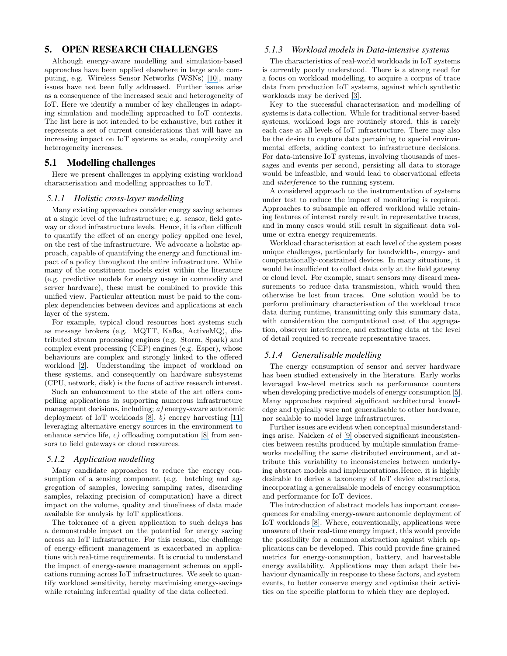#### 5. OPEN RESEARCH CHALLENGES

Although energy-aware modelling and simulation-based approaches have been applied elsewhere in large scale computing, e.g. Wireless Sensor Networks (WSNs) [\[10\]](https://www.researchgate.net/publication/277009005_Performance_Evaluation_Methods_in_Ad-Hoc_and_Wireless_Sensor_Networks_A_Literature_Study?el=1_x_8&enrichId=rgreq-697b4cfa0f612d6876c784f1704a2d20-XXX&enrichSource=Y292ZXJQYWdlOzMwNDA1NDk4NjtBUzo0NDYwNTkxOTQzOTI1NzZAMTQ4MzM2MDIwNzM1MQ==), many issues have not been fully addressed. Further issues arise as a consequence of the increased scale and heterogeneity of IoT. Here we identify a number of key challenges in adapting simulation and modelling approached to IoT contexts. The list here is not intended to be exhaustive, but rather it represents a set of current considerations that will have an increasing impact on IoT systems as scale, complexity and heterogeneity increases.

#### 5.1 Modelling challenges

Here we present challenges in applying existing workload characterisation and modelling approaches to IoT.

#### *5.1.1 Holistic cross-layer modelling*

Many existing approaches consider energy saving schemes at a single level of the infrastructure; e.g. sensor, field gateway or cloud infrastructure levels. Hence, it is often difficult to quantify the effect of an energy policy applied one level, on the rest of the infrastructure. We advocate a holistic approach, capable of quantifying the energy and functional impact of a policy throughout the entire infrastructure. While many of the constituent models exist within the literature (e.g. predictive models for energy usage in commodity and server hardware), these must be combined to provide this unified view. Particular attention must be paid to the complex dependencies between devices and applications at each layer of the system.

For example, typical cloud resources host systems such as message brokers (e.g. MQTT, Kafka, ActiveMQ), distributed stream processing engines (e.g. Storm, Spark) and complex event processing (CEP) engines (e.g. Esper), whose behaviours are complex and strongly linked to the offered workload [\[2\]](https://www.researchgate.net/publication/303972266_Proactive_scaling_of_distributed_stream_processing_work_flows_using_workload_modelling_doctoral_symposium?el=1_x_8&enrichId=rgreq-697b4cfa0f612d6876c784f1704a2d20-XXX&enrichSource=Y292ZXJQYWdlOzMwNDA1NDk4NjtBUzo0NDYwNTkxOTQzOTI1NzZAMTQ4MzM2MDIwNzM1MQ==). Understanding the impact of workload on these systems, and consequently on hardware subsystems (CPU, network, disk) is the focus of active research interest.

Such an enhancement to the state of the art offers compelling applications in supporting numerous infrastructure management decisions, including; a) energy-aware autonomic deployment of IoT workloads  $[8]$ , b) energy harvesting  $[11]$ leveraging alternative energy sources in the environment to enhance service life,  $c$ ) offloading computation [\[8\]](https://www.researchgate.net/publication/303972267_Automating_computational_placement_in_IoT_environments_doctoral_symposium?el=1_x_8&enrichId=rgreq-697b4cfa0f612d6876c784f1704a2d20-XXX&enrichSource=Y292ZXJQYWdlOzMwNDA1NDk4NjtBUzo0NDYwNTkxOTQzOTI1NzZAMTQ4MzM2MDIwNzM1MQ==) from sensors to field gateways or cloud resources.

#### *5.1.2 Application modelling*

Many candidate approaches to reduce the energy consumption of a sensing component (e.g. batching and aggregation of samples, lowering sampling rates, discarding samples, relaxing precision of computation) have a direct impact on the volume, quality and timeliness of data made available for analysis by IoT applications.

The tolerance of a given application to such delays has a demonstrable impact on the potential for energy saving across an IoT infrastructure. For this reason, the challenge of energy-efficient management is exacerbated in applications with real-time requirements. It is crucial to understand the impact of energy-aware management schemes on applications running across IoT infrastructures. We seek to quantify workload sensitivity, hereby maximising energy-savings while retaining inferential quality of the data collected.

#### *5.1.3 Workload models in Data-intensive systems*

The characteristics of real-world workloads in IoT systems is currently poorly understood. There is a strong need for a focus on workload modelling, to acquire a corpus of trace data from production IoT systems, against which synthetic workloads may be derived [\[3\]](https://www.researchgate.net/publication/240918603_Workload_modeling_for_computer_systems_performance_evaluation?el=1_x_8&enrichId=rgreq-697b4cfa0f612d6876c784f1704a2d20-XXX&enrichSource=Y292ZXJQYWdlOzMwNDA1NDk4NjtBUzo0NDYwNTkxOTQzOTI1NzZAMTQ4MzM2MDIwNzM1MQ==).

Key to the successful characterisation and modelling of systems is data collection. While for traditional server-based systems, workload logs are routinely stored, this is rarely each case at all levels of IoT infrastructure. There may also be the desire to capture data pertaining to special environmental effects, adding context to infrastructure decisions. For data-intensive IoT systems, involving thousands of messages and events per second, persisting all data to storage would be infeasible, and would lead to observational effects and interference to the running system.

A considered approach to the instrumentation of systems under test to reduce the impact of monitoring is required. Approaches to subsample an offered workload while retaining features of interest rarely result in representative traces, and in many cases would still result in significant data volume or extra energy requirements.

Workload characterisation at each level of the system poses unique challenges, particularly for bandwidth-, energy- and computationally-constrained devices. In many situations, it would be insufficient to collect data only at the field gateway or cloud level. For example, smart sensors may discard measurements to reduce data transmission, which would then otherwise be lost from traces. One solution would be to perform preliminary characterisation of the workload trace data during runtime, transmitting only this summary data, with consideration the computational cost of the aggregation, observer interference, and extracting data at the level of detail required to recreate representative traces.

#### *5.1.4 Generalisable modelling*

The energy consumption of sensor and server hardware has been studied extensively in the literature. Early works leveraged low-level metrics such as performance counters when developing predictive models of energy consumption [\[5\]](https://www.researchgate.net/publication/273950147_Operating_Policies_for_Energy_Efficient_Large_Scale_Computing?el=1_x_8&enrichId=rgreq-697b4cfa0f612d6876c784f1704a2d20-XXX&enrichSource=Y292ZXJQYWdlOzMwNDA1NDk4NjtBUzo0NDYwNTkxOTQzOTI1NzZAMTQ4MzM2MDIwNzM1MQ==). Many approaches required significant architectural knowledge and typically were not generalisable to other hardware, nor scalable to model large infrastructures.

Further issues are evident when conceptual misunderstandings arise. Naicken et al [\[9\]](https://www.researchgate.net/publication/220195186_The_state_of_peer-to-peer_simulators_and_simulations?el=1_x_8&enrichId=rgreq-697b4cfa0f612d6876c784f1704a2d20-XXX&enrichSource=Y292ZXJQYWdlOzMwNDA1NDk4NjtBUzo0NDYwNTkxOTQzOTI1NzZAMTQ4MzM2MDIwNzM1MQ==) observed significant inconsistencies between results produced by multiple simulation frameworks modelling the same distributed environment, and attribute this variability to inconsistencies between underlying abstract models and implementations.Hence, it is highly desirable to derive a taxonomy of IoT device abstractions, incorporating a generalisable models of energy consumption and performance for IoT devices.

The introduction of abstract models has important consequences for enabling energy-aware autonomic deployment of IoT workloads [\[8\]](https://www.researchgate.net/publication/303972267_Automating_computational_placement_in_IoT_environments_doctoral_symposium?el=1_x_8&enrichId=rgreq-697b4cfa0f612d6876c784f1704a2d20-XXX&enrichSource=Y292ZXJQYWdlOzMwNDA1NDk4NjtBUzo0NDYwNTkxOTQzOTI1NzZAMTQ4MzM2MDIwNzM1MQ==). Where, conventionally, applications were unaware of their real-time energy impact, this would provide the possibility for a common abstraction against which applications can be developed. This could provide fine-grained metrics for energy-consumption, battery, and harvestable energy availability. Applications may then adapt their behaviour dynamically in response to these factors, and system events, to better conserve energy and optimise their activities on the specific platform to which they are deployed.